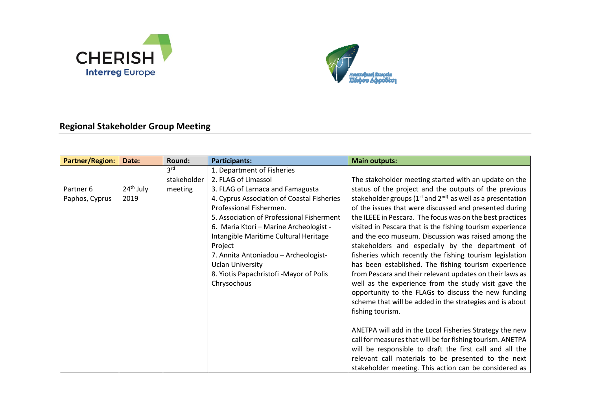



## **Regional Stakeholder Group Meeting**

| <b>Partner/Region:</b>      | Date:               | Round: | Participants:                                                                                                                                                                                                                                                                                                                                                                                                                          | <b>Main outputs:</b>                                                                                                                                                                                                                                                                                                                                                                                                                                                                                                                                                                                                                                                                                                                                                                                                                                                   |
|-----------------------------|---------------------|--------|----------------------------------------------------------------------------------------------------------------------------------------------------------------------------------------------------------------------------------------------------------------------------------------------------------------------------------------------------------------------------------------------------------------------------------------|------------------------------------------------------------------------------------------------------------------------------------------------------------------------------------------------------------------------------------------------------------------------------------------------------------------------------------------------------------------------------------------------------------------------------------------------------------------------------------------------------------------------------------------------------------------------------------------------------------------------------------------------------------------------------------------------------------------------------------------------------------------------------------------------------------------------------------------------------------------------|
| Partner 6<br>Paphos, Cyprus | $24th$ July<br>2019 |        | 1. Department of Fisheries<br>2. FLAG of Limassol<br>3. FLAG of Larnaca and Famagusta<br>4. Cyprus Association of Coastal Fisheries<br>Professional Fishermen.<br>5. Association of Professional Fisherment<br>6. Maria Ktori - Marine Archeologist -<br>Intangible Maritime Cultural Heritage<br>Project<br>7. Annita Antoniadou - Archeologist-<br><b>Uclan University</b><br>8. Yiotis Papachristofi -Mayor of Polis<br>Chrysochous | The stakeholder meeting started with an update on the<br>status of the project and the outputs of the previous<br>stakeholder groups ( $1^{st}$ and $2^{nd}$ ) as well as a presentation<br>of the issues that were discussed and presented during<br>the ILEEE in Pescara. The focus was on the best practices<br>visited in Pescara that is the fishing tourism experience<br>and the eco museum. Discussion was raised among the<br>stakeholders and especially by the department of<br>fisheries which recently the fishing tourism legislation<br>has been established. The fishing tourism experience<br>from Pescara and their relevant updates on their laws as<br>well as the experience from the study visit gave the<br>opportunity to the FLAGs to discuss the new funding<br>scheme that will be added in the strategies and is about<br>fishing tourism. |
|                             |                     |        |                                                                                                                                                                                                                                                                                                                                                                                                                                        | ANETPA will add in the Local Fisheries Strategy the new<br>call for measures that will be for fishing tourism. ANETPA<br>will be responsible to draft the first call and all the<br>relevant call materials to be presented to the next<br>stakeholder meeting. This action can be considered as                                                                                                                                                                                                                                                                                                                                                                                                                                                                                                                                                                       |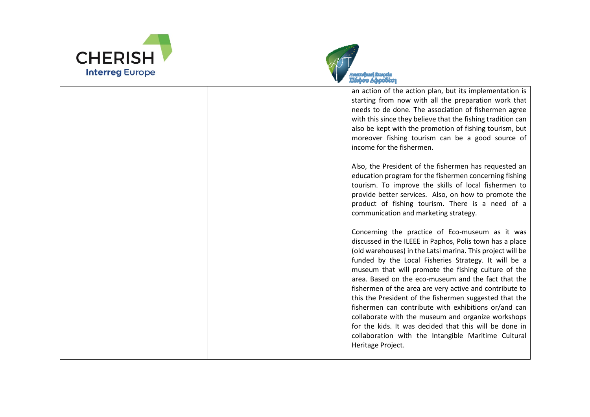



an action of the action plan, but its implementation is starting from now with all the preparation work that needs to de done. The association of fishermen agree with this since they believe that the fishing tradition can also be kept with the promotion of fishing tourism, but moreover fishing tourism can be a good source of income for the fishermen.

Also, the President of the fishermen has requested an education program for the fishermen concerning fishing tourism. To improve the skills of local fishermen to provide better services. Also, on how to promote the product of fishing tourism. There is a need of a communication and marketing strategy.

Concerning the practice of Eco-museum as it was discussed in the ILEEE in Paphos, Polis town has a place (old warehouses) in the Latsi marina. This project will be funded by the Local Fisheries Strategy. It will be a museum that will promote the fishing culture of the area. Based on the eco-museum and the fact that the fishermen of the area are very active and contribute to this the President of the fishermen suggested that the fishermen can contribute with exhibitions or/and can collaborate with the museum and organize workshops for the kids. It was decided that this will be done in collaboration with the Intangible Maritime Cultural Heritage Project.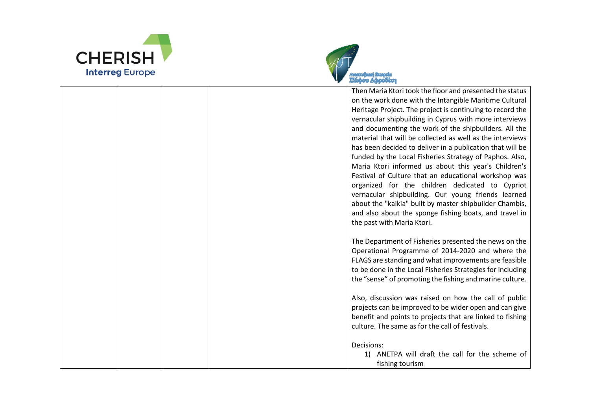



Then Maria Ktori took the floor and presented the status on the work done with the Intangible Maritime Cultural Heritage Project. The project is continuing to record the vernacular shipbuilding in Cyprus with more interviews and documenting the work of the shipbuilders. All the material that will be collected as well as the interviews has been decided to deliver in a publication that will be funded by the Local Fisheries Strategy of Paphos. Also, Maria Ktori informed us about this year's Children's Festival of Culture that an educational workshop was organized for the children dedicated to Cypriot vernacular shipbuilding. Our young friends learned about the "kaikia" built by master shipbuilder Chambis, and also about the sponge fishing boats, and travel in the past with Maria Ktori. The Department of Fisheries presented the news on the Operational Programme of 2014-2020 and where the FLAGS are standing and what improvements are feasible to be done in the Local Fisheries Strategies for including the "sense" of promoting the fishing and marine culture. Also, discussion was raised on how the call of public projects can be improved to be wider open and can give benefit and points to projects that are linked to fishing culture. The same as for the call of festivals. Decisions:

> 1) ANETPA will draft the call for the scheme of fishing tourism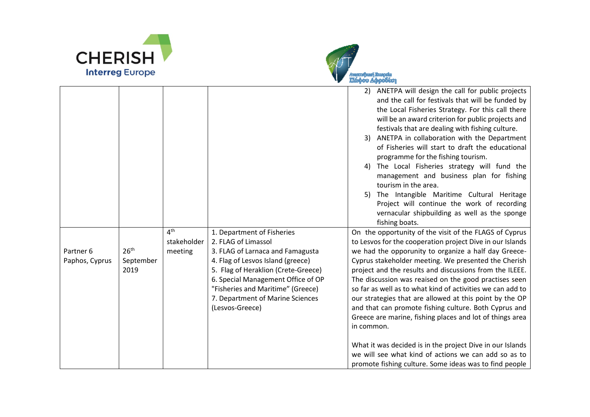



| Partner 6<br>Paphos, Cyprus | 26 <sup>th</sup><br>September<br>2019 | $4^{\text{th}}$<br>stakeholder<br>meeting | 1. Department of Fisheries<br>2. FLAG of Limassol<br>3. FLAG of Larnaca and Famagusta<br>4. Flag of Lesvos Island (greece)<br>5. Flag of Heraklion (Crete-Greece)<br>6. Special Management Office of OP<br>"Fisheries and Maritime" (Greece)<br>7. Department of Marine Sciences<br>(Lesvos-Greece) | 3)<br>4)<br>5)<br>in common. | 2) ANETPA will design the call for public projects<br>and the call for festivals that will be funded by<br>the Local Fisheries Strategy. For this call there<br>will be an award criterion for public projects and<br>festivals that are dealing with fishing culture.<br>ANETPA in collaboration with the Department<br>of Fisheries will start to draft the educational<br>programme for the fishing tourism.<br>The Local Fisheries strategy will fund the<br>management and business plan for fishing<br>tourism in the area.<br>The Intangible Maritime Cultural Heritage<br>Project will continue the work of recording<br>vernacular shipbuilding as well as the sponge<br>fishing boats.<br>On the opportunity of the visit of the FLAGS of Cyprus<br>to Lesvos for the cooperation project Dive in our Islands<br>we had the opporunity to organize a half day Greece-<br>Cyprus stakeholder meeting. We presented the Cherish<br>project and the results and discussions from the ILEEE.<br>The discussion was reaised on the good practises seen<br>so far as well as to what kind of activities we can add to<br>our strategies that are allowed at this point by the OP<br>and that can promote fishing culture. Both Cyprus and<br>Greece are marine, fishing places and lot of things area |
|-----------------------------|---------------------------------------|-------------------------------------------|-----------------------------------------------------------------------------------------------------------------------------------------------------------------------------------------------------------------------------------------------------------------------------------------------------|------------------------------|-----------------------------------------------------------------------------------------------------------------------------------------------------------------------------------------------------------------------------------------------------------------------------------------------------------------------------------------------------------------------------------------------------------------------------------------------------------------------------------------------------------------------------------------------------------------------------------------------------------------------------------------------------------------------------------------------------------------------------------------------------------------------------------------------------------------------------------------------------------------------------------------------------------------------------------------------------------------------------------------------------------------------------------------------------------------------------------------------------------------------------------------------------------------------------------------------------------------------------------------------------------------------------------------------------------|
|                             |                                       |                                           |                                                                                                                                                                                                                                                                                                     |                              | What it was decided is in the project Dive in our Islands<br>we will see what kind of actions we can add so as to<br>promote fishing culture. Some ideas was to find people                                                                                                                                                                                                                                                                                                                                                                                                                                                                                                                                                                                                                                                                                                                                                                                                                                                                                                                                                                                                                                                                                                                               |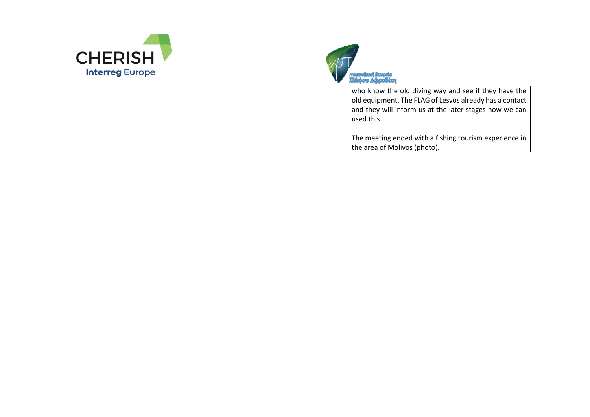



|  | who know the old diving way and see if they have the<br>old equipment. The FLAG of Lesvos already has a contact<br>and they will inform us at the later stages how we can<br>used this. |
|--|-----------------------------------------------------------------------------------------------------------------------------------------------------------------------------------------|
|  | The meeting ended with a fishing tourism experience in<br>the area of Molivos (photo).                                                                                                  |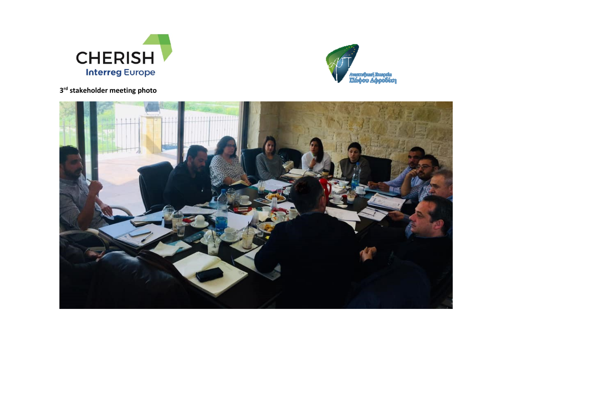